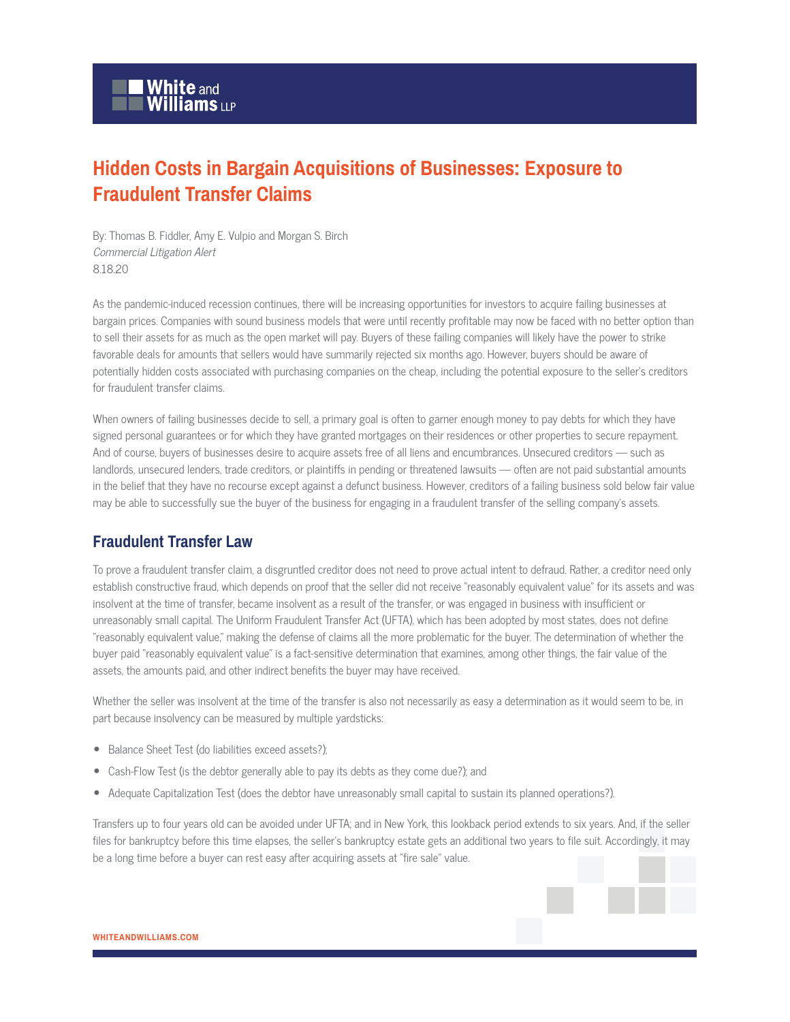# **Hidden Costs in Bargain Acquisitions of Businesses: Exposure to Fraudulent Transfer Claims**

By: Thomas B. Fiddler, Amy E. Vulpio and Morgan S. Birch Commercial Litigation Alert 8.18.20

As the pandemic-induced recession continues, there will be increasing opportunities for investors to acquire failing businesses at bargain prices. Companies with sound business models that were until recently profitable may now be faced with no better option than to sell their assets for as much as the open market will pay. Buyers of these failing companies will likely have the power to strike favorable deals for amounts that sellers would have summarily rejected six months ago. However, buyers should be aware of potentially hidden costs associated with purchasing companies on the cheap, including the potential exposure to the seller's creditors for fraudulent transfer claims.

When owners of failing businesses decide to sell, a primary goal is often to garner enough money to pay debts for which they have signed personal guarantees or for which they have granted mortgages on their residences or other properties to secure repayment. And of course, buyers of businesses desire to acquire assets free of all liens and encumbrances. Unsecured creditors — such as landlords, unsecured lenders, trade creditors, or plaintiffs in pending or threatened lawsuits — often are not paid substantial amounts in the belief that they have no recourse except against a defunct business. However, creditors of a failing business sold below fair value may be able to successfully sue the buyer of the business for engaging in a fraudulent transfer of the selling company's assets.

## **Fraudulent Transfer Law**

To prove a fraudulent transfer claim, a disgruntled creditor does not need to prove actual intent to defraud. Rather, a creditor need only establish constructive fraud, which depends on proof that the seller did not receive "reasonably equivalent value" for its assets and was insolvent at the time of transfer, became insolvent as a result of the transfer, or was engaged in business with insufficient or unreasonably small capital. The Uniform Fraudulent Transfer Act (UFTA), which has been adopted by most states, does not define "reasonably equivalent value," making the defense of claims all the more problematic for the buyer. The determination of whether the buyer paid "reasonably equivalent value" is a fact-sensitive determination that examines, among other things, the fair value of the assets, the amounts paid, and other indirect benefits the buyer may have received.

Whether the seller was insolvent at the time of the transfer is also not necessarily as easy a determination as it would seem to be, in part because insolvency can be measured by multiple yardsticks:

- Balance Sheet Test (do liabilities exceed assets?);
- Cash-Flow Test (is the debtor generally able to pay its debts as they come due?); and
- Adequate Capitalization Test (does the debtor have unreasonably small capital to sustain its planned operations?).

Transfers up to four years old can be avoided under UFTA; and in New York, this lookback period extends to six years. And, if the seller files for bankruptcy before this time elapses, the seller's bankruptcy estate gets an additional two years to file suit. Accordingly, it may be a long time before a buyer can rest easy after acquiring assets at "fire sale" value.

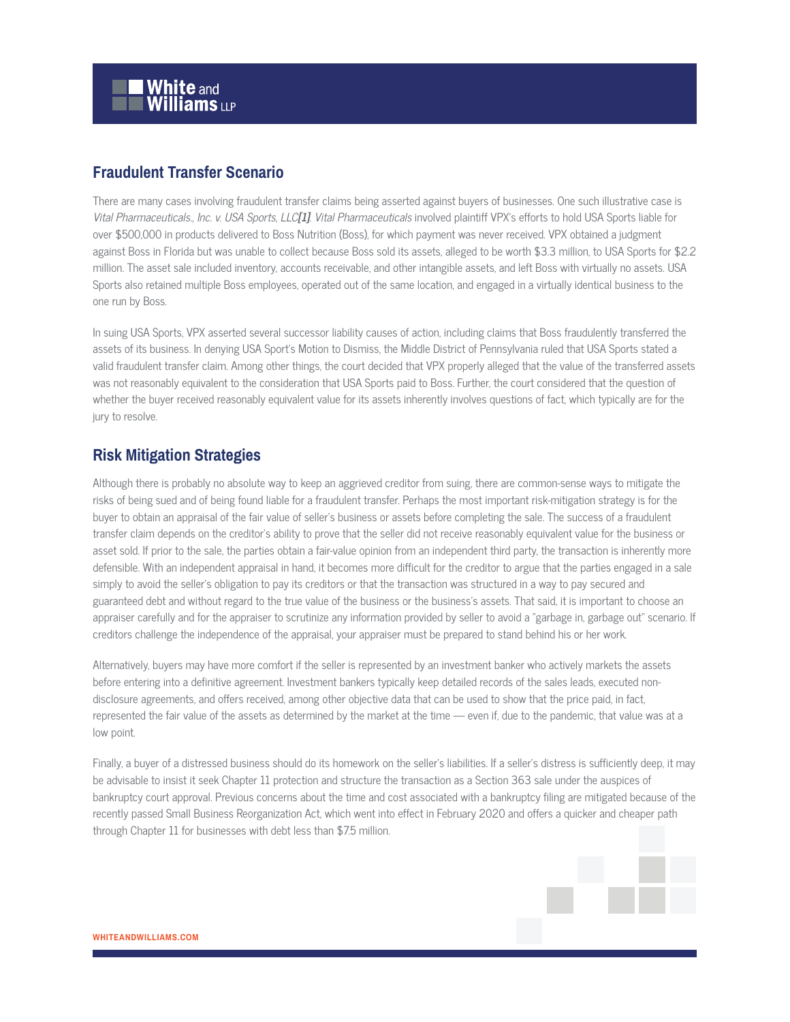

### **Fraudulent Transfer Scenario**

There are many cases involving fraudulent transfer claims being asserted against buyers of businesses. One such illustrative case is Vital Pharmaceuticals., Inc. v. USA Sports, LLC**[1]**. Vital Pharmaceuticals involved plaintiff VPX's efforts to hold USA Sports liable for over \$500,000 in products delivered to Boss Nutrition (Boss), for which payment was never received. VPX obtained a judgment against Boss in Florida but was unable to collect because Boss sold its assets, alleged to be worth \$3.3 million, to USA Sports for \$2.2 million. The asset sale included inventory, accounts receivable, and other intangible assets, and left Boss with virtually no assets. USA Sports also retained multiple Boss employees, operated out of the same location, and engaged in a virtually identical business to the one run by Boss.

In suing USA Sports, VPX asserted several successor liability causes of action, including claims that Boss fraudulently transferred the assets of its business. In denying USA Sport's Motion to Dismiss, the Middle District of Pennsylvania ruled that USA Sports stated a valid fraudulent transfer claim. Among other things, the court decided that VPX properly alleged that the value of the transferred assets was not reasonably equivalent to the consideration that USA Sports paid to Boss. Further, the court considered that the question of whether the buyer received reasonably equivalent value for its assets inherently involves questions of fact, which typically are for the jury to resolve.

#### **Risk Mitigation Strategies**

Although there is probably no absolute way to keep an aggrieved creditor from suing, there are common-sense ways to mitigate the risks of being sued and of being found liable for a fraudulent transfer. Perhaps the most important risk-mitigation strategy is for the buyer to obtain an appraisal of the fair value of seller's business or assets before completing the sale. The success of a fraudulent transfer claim depends on the creditor's ability to prove that the seller did not receive reasonably equivalent value for the business or asset sold. If prior to the sale, the parties obtain a fair-value opinion from an independent third party, the transaction is inherently more defensible. With an independent appraisal in hand, it becomes more difficult for the creditor to argue that the parties engaged in a sale simply to avoid the seller's obligation to pay its creditors or that the transaction was structured in a way to pay secured and guaranteed debt and without regard to the true value of the business or the business's assets. That said, it is important to choose an appraiser carefully and for the appraiser to scrutinize any information provided by seller to avoid a "garbage in, garbage out" scenario. If creditors challenge the independence of the appraisal, your appraiser must be prepared to stand behind his or her work.

Alternatively, buyers may have more comfort if the seller is represented by an investment banker who actively markets the assets before entering into a definitive agreement. Investment bankers typically keep detailed records of the sales leads, executed nondisclosure agreements, and offers received, among other objective data that can be used to show that the price paid, in fact, represented the fair value of the assets as determined by the market at the time — even if, due to the pandemic, that value was at a low point.

Finally, a buyer of a distressed business should do its homework on the seller's liabilities. If a seller's distress is sufficiently deep, it may be advisable to insist it seek Chapter 11 protection and structure the transaction as a Section 363 sale under the auspices of bankruptcy court approval. Previous concerns about the time and cost associated with a bankruptcy filing are mitigated because of the recently passed Small Business Reorganization Act, which went into effect in February 2020 and offers a quicker and cheaper path through Chapter 11 for businesses with debt less than \$7.5 million.